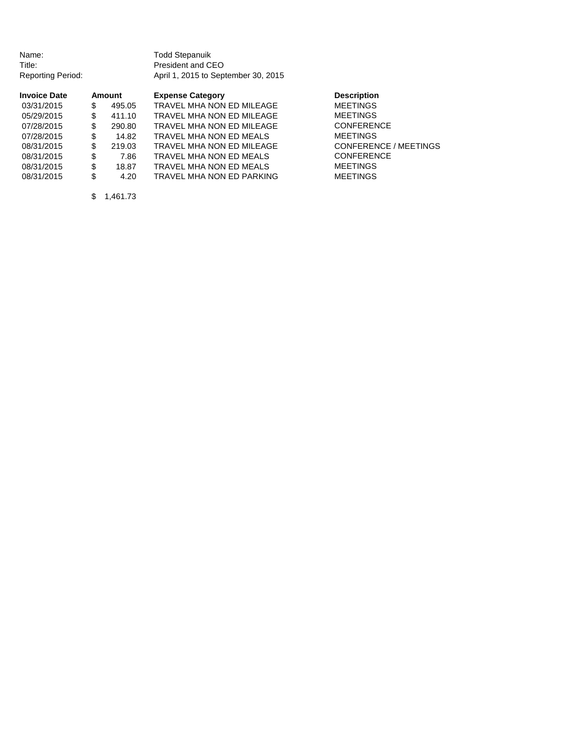Name: Todd Stepanuik<br>Title: Title: President and C

President and CEO Reporting Period: April 1, 2015 to September 30, 2015

| <b>Invoice Date</b> |     | Amount | <b>Expense Category</b>   | <b>Description</b>           |  |
|---------------------|-----|--------|---------------------------|------------------------------|--|
| 03/31/2015          | \$  | 495.05 | TRAVEL MHA NON ED MILEAGE | <b>MEETINGS</b>              |  |
| 05/29/2015          | S   | 411.10 | TRAVEL MHA NON ED MILEAGE | <b>MEETINGS</b>              |  |
| 07/28/2015          | \$. | 290.80 | TRAVEL MHA NON ED MILEAGE | <b>CONFERENCE</b>            |  |
| 07/28/2015          | S   | 14.82  | TRAVEL MHA NON ED MEALS   | <b>MEETINGS</b>              |  |
| 08/31/2015          | S   | 219.03 | TRAVEL MHA NON ED MILEAGE | <b>CONFERENCE / MEETINGS</b> |  |
| 08/31/2015          | S   | 7.86   | TRAVEL MHA NON ED MEALS   | <b>CONFERENCE</b>            |  |
| 08/31/2015          | \$  | 18.87  | TRAVEL MHA NON ED MEALS   | <b>MEETINGS</b>              |  |
| 08/31/2015          |     | 4.20   | TRAVEL MHA NON ED PARKING | <b>MEETINGS</b>              |  |
|                     |     |        |                           |                              |  |

\$ 1,461.73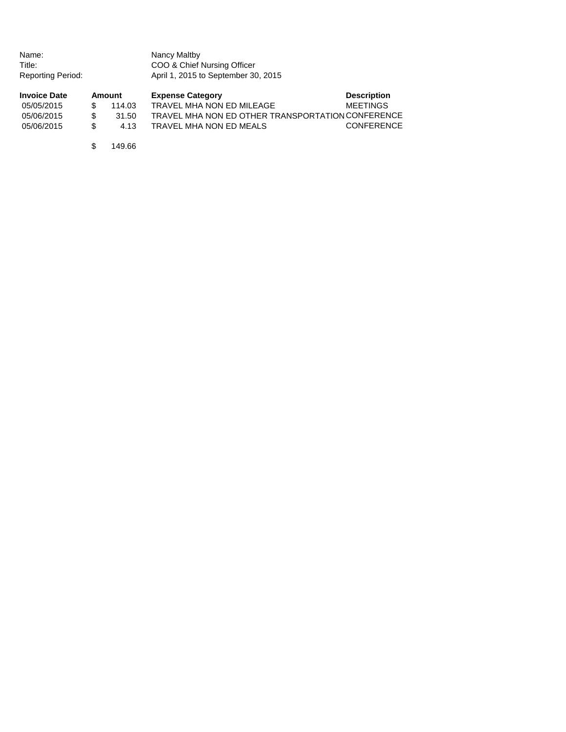| Name:<br>Title:<br><b>Reporting Period:</b> |    |        | Nancy Maltby<br>COO & Chief Nursing Officer<br>April 1, 2015 to September 30, 2015 |                    |
|---------------------------------------------|----|--------|------------------------------------------------------------------------------------|--------------------|
| <b>Invoice Date</b>                         |    | Amount | <b>Expense Category</b>                                                            | <b>Description</b> |
| 05/05/2015                                  | S  | 114.03 | TRAVEL MHA NON ED MILEAGE                                                          | <b>MEETINGS</b>    |
| 05/06/2015                                  | \$ | 31.50  | TRAVEL MHA NON ED OTHER TRANSPORTATION CONFERENCE                                  |                    |
| 05/06/2015                                  | \$ | 4.13   | TRAVEL MHA NON ED MEALS                                                            | <b>CONFERENCE</b>  |
|                                             | S  | 149.66 |                                                                                    |                    |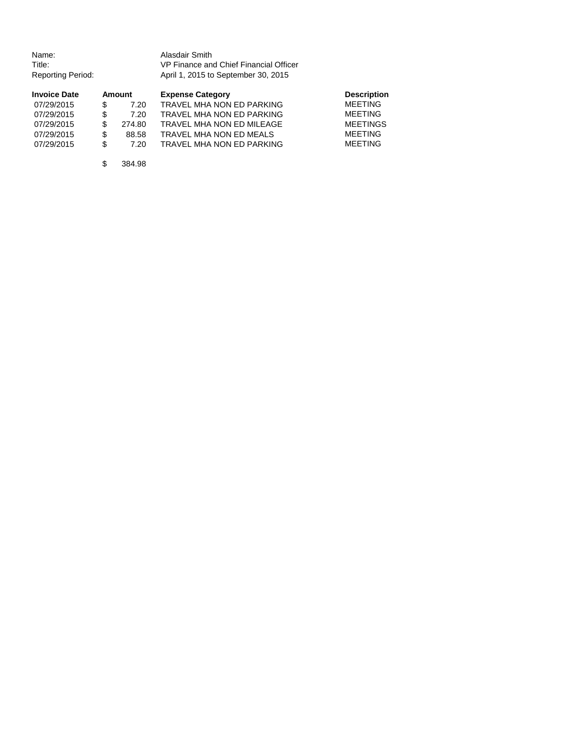| Name:             | Alasdair Smith                         |
|-------------------|----------------------------------------|
| Title:            | VP Finance and Chief Financial Officer |
| Reporting Period: | April 1, 2015 to September 30, 2015    |

| <b>Invoice Date</b> |     | <b>Amount</b> | <b>Expense Category</b>   | <b>Description</b> |
|---------------------|-----|---------------|---------------------------|--------------------|
| 07/29/2015          |     | 7.20          | TRAVEL MHA NON ED PARKING | <b>MEETING</b>     |
| 07/29/2015          | \$. | 7.20          | TRAVEL MHA NON ED PARKING | <b>MEETING</b>     |
| 07/29/2015          |     | 274.80        | TRAVEL MHA NON ED MILEAGE | <b>MEETINGS</b>    |
| 07/29/2015          | \$. | 88.58         | TRAVEL MHA NON ED MEALS   | <b>MEETING</b>     |
| 07/29/2015          | S.  | 7.20          | TRAVEL MHA NON ED PARKING | <b>MEETING</b>     |

\$ 384.98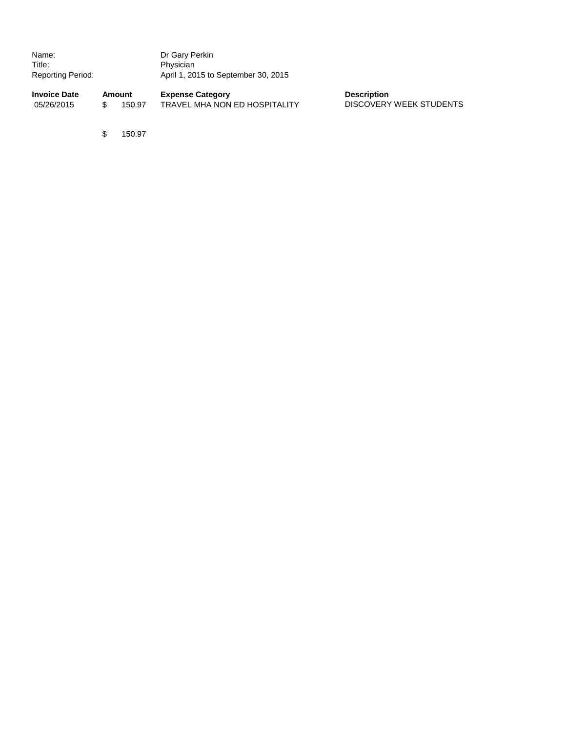| Name:             | Dr Gary Perkin                      |
|-------------------|-------------------------------------|
| Title:            | Physician                           |
| Reporting Period: | April 1, 2015 to September 30, 2015 |
|                   |                                     |

**Invoice Date Amount Expense Category Description** 05/26/2015 \$ 150.97 TRAVEL MHA NON ED HOSPITALITY DISCOVERY WEEK STUDENTS

\$ 150.97